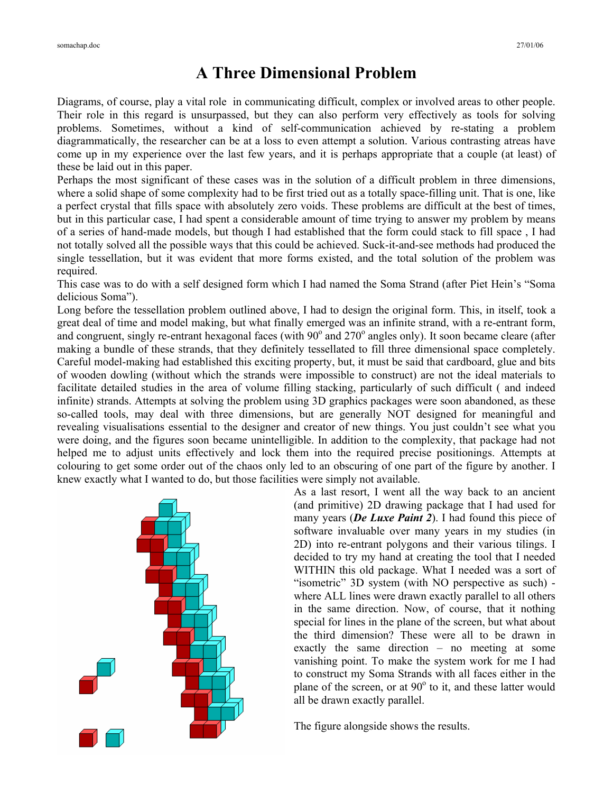## **A Three Dimensional Problem**

Diagrams, of course, play a vital role in communicating difficult, complex or involved areas to other people. Their role in this regard is unsurpassed, but they can also perform very effectively as tools for solving problems. Sometimes, without a kind of self-communication achieved by re-stating a problem diagrammatically, the researcher can be at a loss to even attempt a solution. Various contrasting atreas have come up in my experience over the last few years, and it is perhaps appropriate that a couple (at least) of these be laid out in this paper.

Perhaps the most significant of these cases was in the solution of a difficult problem in three dimensions, where a solid shape of some complexity had to be first tried out as a totally space-filling unit. That is one, like a perfect crystal that fills space with absolutely zero voids. These problems are difficult at the best of times, but in this particular case, I had spent a considerable amount of time trying to answer my problem by means of a series of hand-made models, but though I had established that the form could stack to fill space , I had not totally solved all the possible ways that this could be achieved. Suck-it-and-see methods had produced the single tessellation, but it was evident that more forms existed, and the total solution of the problem was required.

This case was to do with a self designed form which I had named the Soma Strand (after Piet Hein's "Soma delicious Soma").

Long before the tessellation problem outlined above, I had to design the original form. This, in itself, took a great deal of time and model making, but what finally emerged was an infinite strand, with a re-entrant form, and congruent, singly re-entrant hexagonal faces (with  $90^{\circ}$  and  $270^{\circ}$  angles only). It soon became cleare (after making a bundle of these strands, that they definitely tessellated to fill three dimensional space completely. Careful model-making had established this exciting property, but, it must be said that cardboard, glue and bits of wooden dowling (without which the strands were impossible to construct) are not the ideal materials to facilitate detailed studies in the area of volume filling stacking, particularly of such difficult ( and indeed infinite) strands. Attempts at solving the problem using 3D graphics packages were soon abandoned, as these so-called tools, may deal with three dimensions, but are generally NOT designed for meaningful and revealing visualisations essential to the designer and creator of new things. You just couldn't see what you were doing, and the figures soon became unintelligible. In addition to the complexity, that package had not helped me to adjust units effectively and lock them into the required precise positionings. Attempts at colouring to get some order out of the chaos only led to an obscuring of one part of the figure by another. I knew exactly what I wanted to do, but those facilities were simply not available.



As a last resort, I went all the way back to an ancient (and primitive) 2D drawing package that I had used for many years (*De Luxe Paint 2*). I had found this piece of software invaluable over many years in my studies (in 2D) into re-entrant polygons and their various tilings. I decided to try my hand at creating the tool that I needed WITHIN this old package. What I needed was a sort of "isometric" 3D system (with NO perspective as such) where ALL lines were drawn exactly parallel to all others in the same direction. Now, of course, that it nothing special for lines in the plane of the screen, but what about the third dimension? These were all to be drawn in exactly the same direction – no meeting at some vanishing point. To make the system work for me I had to construct my Soma Strands with all faces either in the plane of the screen, or at 90° to it, and these latter would all be drawn exactly parallel.

The figure alongside shows the results.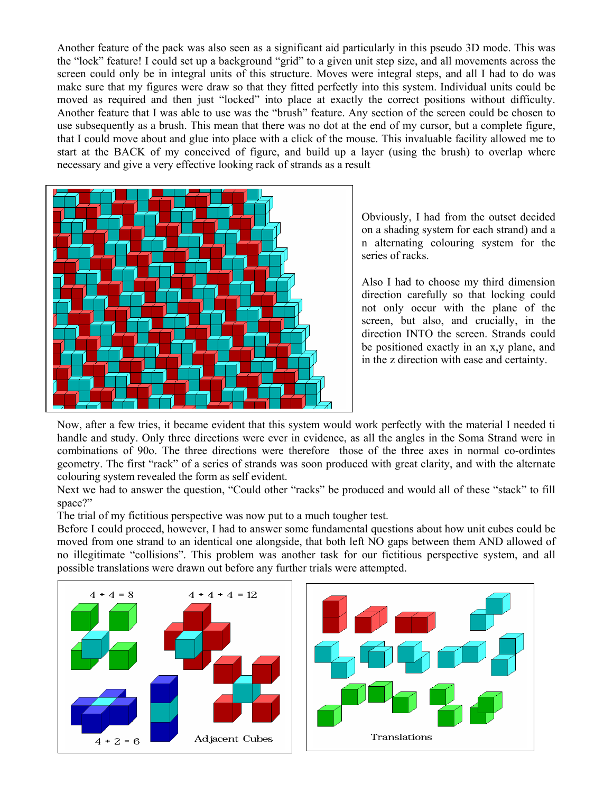Another feature of the pack was also seen as a significant aid particularly in this pseudo 3D mode. This was the "lock" feature! I could set up a background "grid" to a given unit step size, and all movements across the screen could only be in integral units of this structure. Moves were integral steps, and all I had to do was make sure that my figures were draw so that they fitted perfectly into this system. Individual units could be moved as required and then just "locked" into place at exactly the correct positions without difficulty. Another feature that I was able to use was the "brush" feature. Any section of the screen could be chosen to use subsequently as a brush. This mean that there was no dot at the end of my cursor, but a complete figure, that I could move about and glue into place with a click of the mouse. This invaluable facility allowed me to start at the BACK of my conceived of figure, and build up a layer (using the brush) to overlap where necessary and give a very effective looking rack of strands as a result



Obviously, I had from the outset decided on a shading system for each strand) and a n alternating colouring system for the series of racks.

Also I had to choose my third dimension direction carefully so that locking could not only occur with the plane of the screen, but also, and crucially, in the direction INTO the screen. Strands could be positioned exactly in an x,y plane, and in the z direction with ease and certainty.

Now, after a few tries, it became evident that this system would work perfectly with the material I needed ti handle and study. Only three directions were ever in evidence, as all the angles in the Soma Strand were in combinations of 90o. The three directions were therefore those of the three axes in normal co-ordintes geometry. The first "rack" of a series of strands was soon produced with great clarity, and with the alternate colouring system revealed the form as self evident.

Next we had to answer the question, "Could other "racks" be produced and would all of these "stack" to fill space?"

The trial of my fictitious perspective was now put to a much tougher test.

Before I could proceed, however, I had to answer some fundamental questions about how unit cubes could be moved from one strand to an identical one alongside, that both left NO gaps between them AND allowed of no illegitimate "collisions". This problem was another task for our fictitious perspective system, and all possible translations were drawn out before any further trials were attempted.

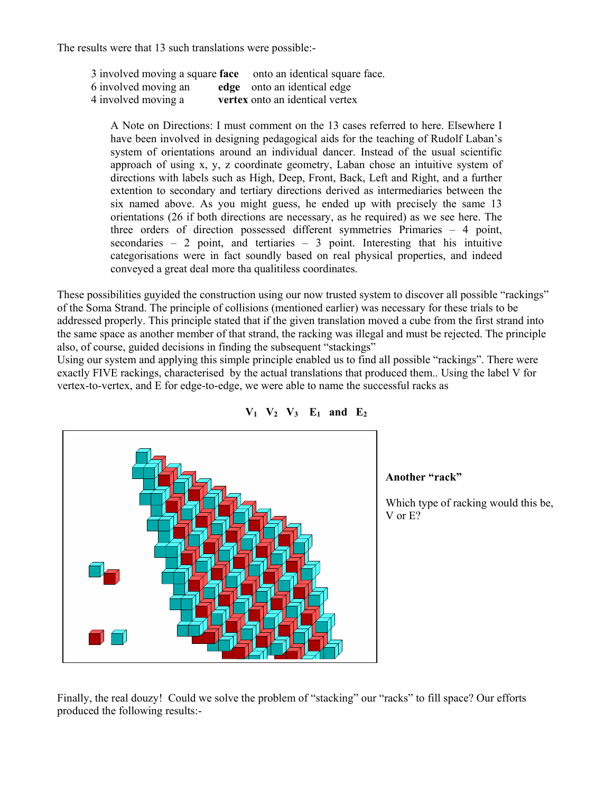The results were that 13 such translations were possible:-

|                      | 3 involved moving a square face onto an identical square face. |
|----------------------|----------------------------------------------------------------|
| 6 involved moving an | edge onto an identical edge                                    |
| 4 involved moving a  | vertex onto an identical vertex                                |

A Note on Directions: I must comment on the 13 cases referred to here. Elsewhere I have been involved in designing pedagogical aids for the teaching of Rudolf Laban's system of orientations around an individual dancer. Instead of the usual scientific approach of using x, y, z coordinate geometry, Laban chose an intuitive system of directions with labels such as High, Deep, Front, Back, Left and Right, and a further extention to secondary and tertiary directions derived as intermediaries between the six named above. As you might guess, he ended up with precisely the same 13 orientations (26 if both directions are necessary, as he required) as we see here. The three orders of direction possessed different symmetries Primaries – 4 point, secondaries  $-2$  point, and tertiaries  $-3$  point. Interesting that his intuitive categorisations were in fact soundly based on real physical properties, and indeed conveyed a great deal more tha qualitiless coordinates.

These possibilities guyided the construction using our now trusted system to discover all possible "rackings" of the Soma Strand. The principle of collisions (mentioned earlier) was necessary for these trials to be addressed properly. This principle stated that if the given translation moved a cube from the first strand into the same space as another member of that strand, the racking was illegal and must be rejected. The principle also, of course, guided decisions in finding the subsequent "stackings"

Using our system and applying this simple principle enabled us to find all possible "rackings". There were exactly FIVE rackings, characterised by the actual translations that produced them.. Using the label V for vertex-to-vertex, and E for edge-to-edge, we were able to name the successful racks as





## **Another "rack"**

Which type of racking would this be, V or E?

Finally, the real douzy! Could we solve the problem of "stacking" our "racks" to fill space? Our efforts produced the following results:-